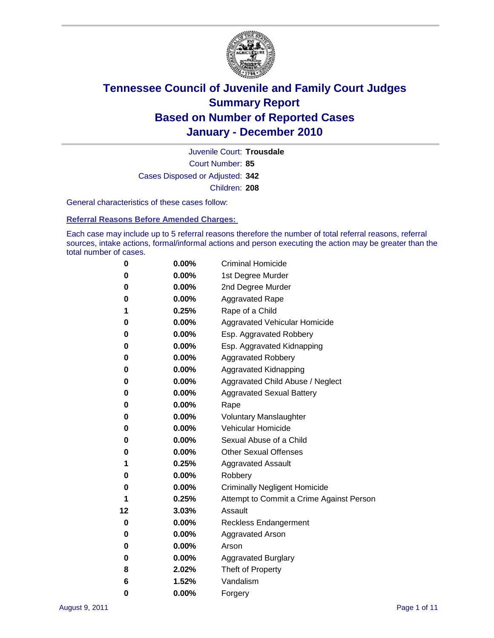

Court Number: **85** Juvenile Court: **Trousdale** Cases Disposed or Adjusted: **342** Children: **208**

General characteristics of these cases follow:

**Referral Reasons Before Amended Charges:** 

Each case may include up to 5 referral reasons therefore the number of total referral reasons, referral sources, intake actions, formal/informal actions and person executing the action may be greater than the total number of cases.

| 0  | 0.00%    | <b>Criminal Homicide</b>                 |
|----|----------|------------------------------------------|
| 0  | 0.00%    | 1st Degree Murder                        |
| 0  | 0.00%    | 2nd Degree Murder                        |
| 0  | 0.00%    | <b>Aggravated Rape</b>                   |
| 1  | 0.25%    | Rape of a Child                          |
| 0  | 0.00%    | Aggravated Vehicular Homicide            |
| 0  | 0.00%    | Esp. Aggravated Robbery                  |
| 0  | 0.00%    | Esp. Aggravated Kidnapping               |
| 0  | 0.00%    | <b>Aggravated Robbery</b>                |
| 0  | 0.00%    | Aggravated Kidnapping                    |
| 0  | 0.00%    | Aggravated Child Abuse / Neglect         |
| 0  | $0.00\%$ | <b>Aggravated Sexual Battery</b>         |
| 0  | 0.00%    | Rape                                     |
| 0  | 0.00%    | <b>Voluntary Manslaughter</b>            |
| 0  | 0.00%    | Vehicular Homicide                       |
| 0  | 0.00%    | Sexual Abuse of a Child                  |
| 0  | 0.00%    | <b>Other Sexual Offenses</b>             |
| 1  | 0.25%    | <b>Aggravated Assault</b>                |
| 0  | $0.00\%$ | Robbery                                  |
| 0  | 0.00%    | <b>Criminally Negligent Homicide</b>     |
| 1  | 0.25%    | Attempt to Commit a Crime Against Person |
| 12 | 3.03%    | Assault                                  |
| 0  | 0.00%    | <b>Reckless Endangerment</b>             |
| 0  | 0.00%    | <b>Aggravated Arson</b>                  |
| 0  | 0.00%    | Arson                                    |
| 0  | 0.00%    | <b>Aggravated Burglary</b>               |
| 8  | 2.02%    | Theft of Property                        |
| 6  | 1.52%    | Vandalism                                |
| 0  | 0.00%    | Forgery                                  |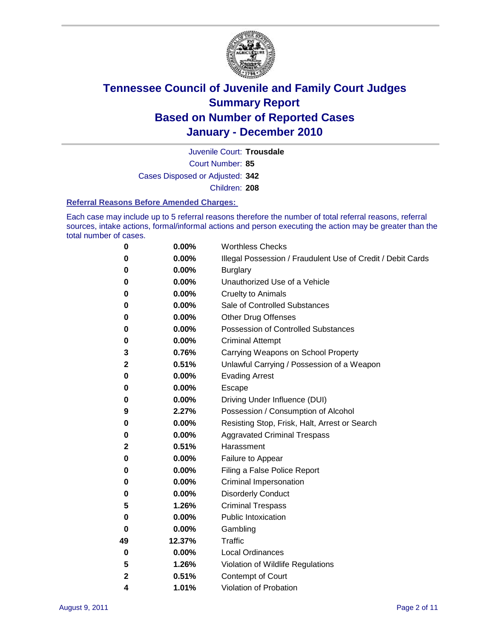

Court Number: **85** Juvenile Court: **Trousdale** Cases Disposed or Adjusted: **342** Children: **208**

#### **Referral Reasons Before Amended Charges:**

Each case may include up to 5 referral reasons therefore the number of total referral reasons, referral sources, intake actions, formal/informal actions and person executing the action may be greater than the total number of cases.

| 0  | 0.00%  | <b>Worthless Checks</b>                                     |
|----|--------|-------------------------------------------------------------|
| 0  | 0.00%  | Illegal Possession / Fraudulent Use of Credit / Debit Cards |
| 0  | 0.00%  | <b>Burglary</b>                                             |
| 0  | 0.00%  | Unauthorized Use of a Vehicle                               |
| 0  | 0.00%  | <b>Cruelty to Animals</b>                                   |
| 0  | 0.00%  | Sale of Controlled Substances                               |
| 0  | 0.00%  | <b>Other Drug Offenses</b>                                  |
| 0  | 0.00%  | <b>Possession of Controlled Substances</b>                  |
| 0  | 0.00%  | <b>Criminal Attempt</b>                                     |
| 3  | 0.76%  | Carrying Weapons on School Property                         |
| 2  | 0.51%  | Unlawful Carrying / Possession of a Weapon                  |
| 0  | 0.00%  | <b>Evading Arrest</b>                                       |
| 0  | 0.00%  | Escape                                                      |
| 0  | 0.00%  | Driving Under Influence (DUI)                               |
| 9  | 2.27%  | Possession / Consumption of Alcohol                         |
| 0  | 0.00%  | Resisting Stop, Frisk, Halt, Arrest or Search               |
| 0  | 0.00%  | <b>Aggravated Criminal Trespass</b>                         |
| 2  | 0.51%  | Harassment                                                  |
| 0  | 0.00%  | Failure to Appear                                           |
| 0  | 0.00%  | Filing a False Police Report                                |
| 0  | 0.00%  | Criminal Impersonation                                      |
| 0  | 0.00%  | <b>Disorderly Conduct</b>                                   |
| 5  | 1.26%  | <b>Criminal Trespass</b>                                    |
| 0  | 0.00%  | <b>Public Intoxication</b>                                  |
| 0  | 0.00%  | Gambling                                                    |
| 49 | 12.37% | <b>Traffic</b>                                              |
| 0  | 0.00%  | <b>Local Ordinances</b>                                     |
| 5  | 1.26%  | Violation of Wildlife Regulations                           |
| 2  | 0.51%  | Contempt of Court                                           |
| 4  | 1.01%  | Violation of Probation                                      |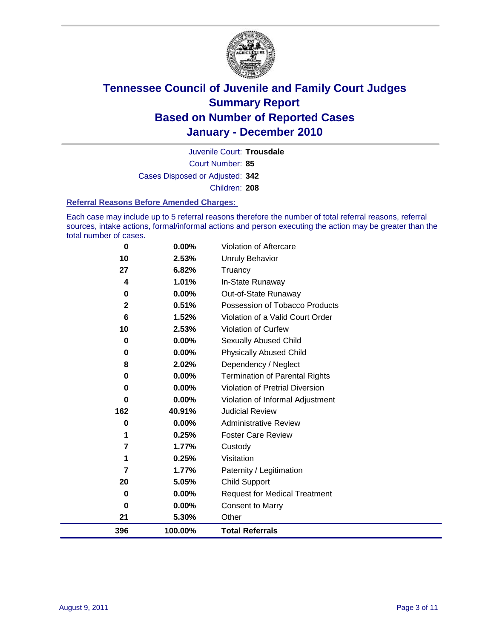

Court Number: **85** Juvenile Court: **Trousdale** Cases Disposed or Adjusted: **342** Children: **208**

#### **Referral Reasons Before Amended Charges:**

Each case may include up to 5 referral reasons therefore the number of total referral reasons, referral sources, intake actions, formal/informal actions and person executing the action may be greater than the total number of cases.

| 0            | 0.00%    | Violation of Aftercare                 |
|--------------|----------|----------------------------------------|
| 10           | 2.53%    | Unruly Behavior                        |
| 27           | 6.82%    | Truancy                                |
| 4            | 1.01%    | In-State Runaway                       |
| $\bf{0}$     | $0.00\%$ | Out-of-State Runaway                   |
| $\mathbf{2}$ | 0.51%    | Possession of Tobacco Products         |
| 6            | 1.52%    | Violation of a Valid Court Order       |
| 10           | 2.53%    | Violation of Curfew                    |
| $\bf{0}$     | $0.00\%$ | Sexually Abused Child                  |
| 0            | 0.00%    | <b>Physically Abused Child</b>         |
| 8            | 2.02%    | Dependency / Neglect                   |
| 0            | 0.00%    | <b>Termination of Parental Rights</b>  |
| $\bf{0}$     | 0.00%    | <b>Violation of Pretrial Diversion</b> |
| 0            | 0.00%    | Violation of Informal Adjustment       |
| 162          | 40.91%   | <b>Judicial Review</b>                 |
| 0            | $0.00\%$ | <b>Administrative Review</b>           |
| 1            | 0.25%    | <b>Foster Care Review</b>              |
| 7            | 1.77%    | Custody                                |
| 1            | 0.25%    | Visitation                             |
| 7            | 1.77%    | Paternity / Legitimation               |
| 20           | 5.05%    | <b>Child Support</b>                   |
| $\bf{0}$     | 0.00%    | <b>Request for Medical Treatment</b>   |
| $\bf{0}$     | 0.00%    | <b>Consent to Marry</b>                |
| 21           | 5.30%    | Other                                  |
| 396          | 100.00%  | <b>Total Referrals</b>                 |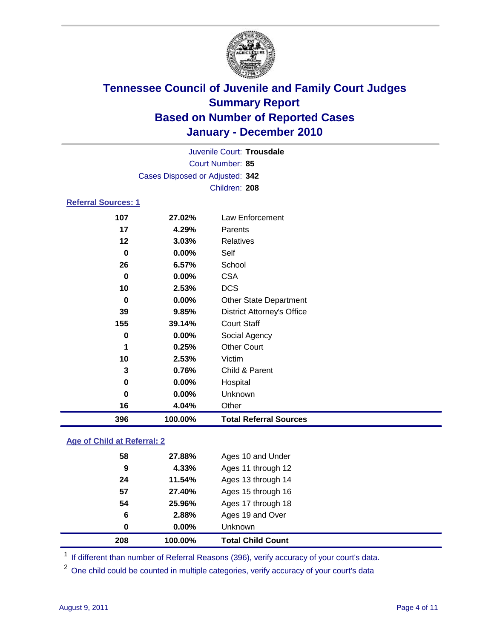

| Juvenile Court: Trousdale  |                                 |                                   |  |  |  |
|----------------------------|---------------------------------|-----------------------------------|--|--|--|
| Court Number: 85           |                                 |                                   |  |  |  |
|                            | Cases Disposed or Adjusted: 342 |                                   |  |  |  |
|                            |                                 | Children: 208                     |  |  |  |
| <b>Referral Sources: 1</b> |                                 |                                   |  |  |  |
| 107                        | 27.02%                          | <b>Law Enforcement</b>            |  |  |  |
| 17                         | 4.29%                           | Parents                           |  |  |  |
| 12                         | 3.03%                           | <b>Relatives</b>                  |  |  |  |
| 0                          | $0.00\%$                        | Self                              |  |  |  |
| 26                         | 6.57%                           | School                            |  |  |  |
| $\bf{0}$                   | 0.00%                           | <b>CSA</b>                        |  |  |  |
| 10                         | 2.53%                           | <b>DCS</b>                        |  |  |  |
| 0                          | $0.00\%$                        | <b>Other State Department</b>     |  |  |  |
| 39                         | 9.85%                           | <b>District Attorney's Office</b> |  |  |  |
| 155                        | 39.14%                          | <b>Court Staff</b>                |  |  |  |
| 0                          | $0.00\%$                        | Social Agency                     |  |  |  |
| 1                          | 0.25%                           | <b>Other Court</b>                |  |  |  |
| 10                         | 2.53%                           | Victim                            |  |  |  |
| 3                          | 0.76%                           | Child & Parent                    |  |  |  |
| 0                          | 0.00%                           | Hospital                          |  |  |  |
| 0                          | 0.00%                           | Unknown                           |  |  |  |
| 16                         | 4.04%                           | Other                             |  |  |  |

#### **Age of Child at Referral: 2**

| 208 | 100.00%    | <b>Total Child Count</b> |
|-----|------------|--------------------------|
|     | 0.00%<br>0 | Unknown                  |
|     | 6<br>2.88% | Ages 19 and Over         |
| 54  | 25.96%     | Ages 17 through 18       |
| 57  | 27.40%     | Ages 15 through 16       |
| 24  | 11.54%     | Ages 13 through 14       |
|     | 4.33%<br>9 | Ages 11 through 12       |
| 58  | 27.88%     | Ages 10 and Under        |
|     |            |                          |

<sup>1</sup> If different than number of Referral Reasons (396), verify accuracy of your court's data.

**100.00% Total Referral Sources**

<sup>2</sup> One child could be counted in multiple categories, verify accuracy of your court's data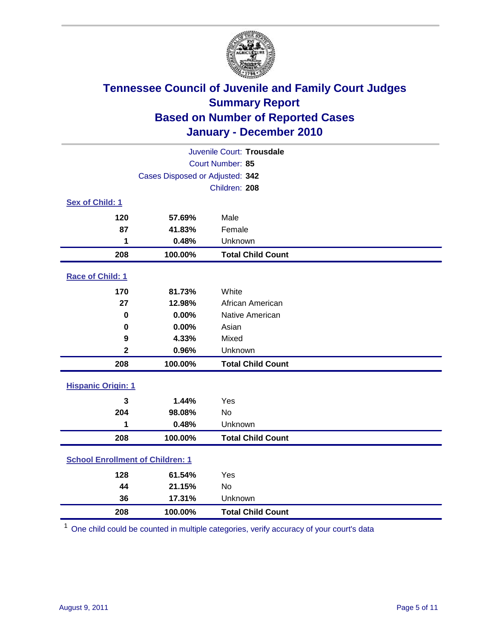

| Juvenile Court: Trousdale               |                                 |                          |  |  |
|-----------------------------------------|---------------------------------|--------------------------|--|--|
|                                         | Court Number: 85                |                          |  |  |
|                                         | Cases Disposed or Adjusted: 342 |                          |  |  |
|                                         |                                 | Children: 208            |  |  |
| Sex of Child: 1                         |                                 |                          |  |  |
| 120                                     | 57.69%                          | Male                     |  |  |
| 87                                      | 41.83%                          | Female                   |  |  |
| 1                                       | 0.48%                           | Unknown                  |  |  |
| 208                                     | 100.00%                         | <b>Total Child Count</b> |  |  |
| Race of Child: 1                        |                                 |                          |  |  |
| 170                                     | 81.73%                          | White                    |  |  |
| 27                                      | 12.98%                          | African American         |  |  |
| $\mathbf 0$                             | 0.00%                           | Native American          |  |  |
| $\mathbf 0$                             | 0.00%                           | Asian                    |  |  |
| 9                                       | 4.33%                           | Mixed                    |  |  |
| $\overline{\mathbf{2}}$                 | 0.96%                           | Unknown                  |  |  |
| 208                                     | 100.00%                         | <b>Total Child Count</b> |  |  |
| <b>Hispanic Origin: 1</b>               |                                 |                          |  |  |
| 3                                       | 1.44%                           | Yes                      |  |  |
| 204                                     | 98.08%                          | No                       |  |  |
| 1                                       | 0.48%                           | Unknown                  |  |  |
| 208                                     | 100.00%                         | <b>Total Child Count</b> |  |  |
| <b>School Enrollment of Children: 1</b> |                                 |                          |  |  |
| 128                                     | 61.54%                          | Yes                      |  |  |
| 44                                      | 21.15%                          | No                       |  |  |
| 36                                      | 17.31%                          | Unknown                  |  |  |
| 208                                     | 100.00%                         | <b>Total Child Count</b> |  |  |

One child could be counted in multiple categories, verify accuracy of your court's data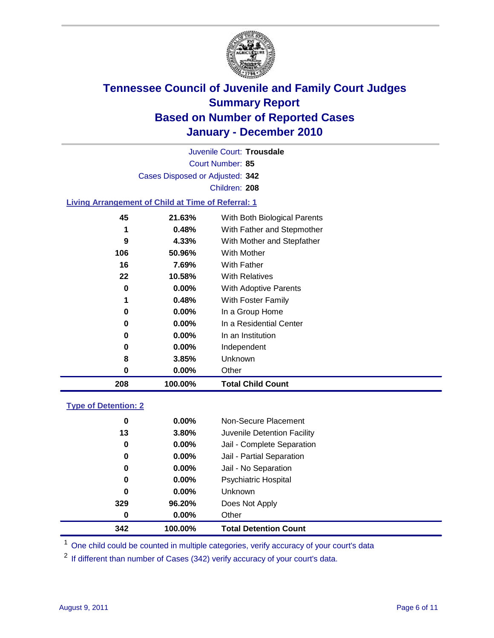

Court Number: **85** Juvenile Court: **Trousdale** Cases Disposed or Adjusted: **342** Children: **208**

#### **Living Arrangement of Child at Time of Referral: 1**

| 208 | 100.00%  | <b>Total Child Count</b>     |
|-----|----------|------------------------------|
| 0   | 0.00%    | Other                        |
| 8   | 3.85%    | Unknown                      |
| 0   | $0.00\%$ | Independent                  |
| 0   | $0.00\%$ | In an Institution            |
| 0   | $0.00\%$ | In a Residential Center      |
| 0   | 0.00%    | In a Group Home              |
| 1   | 0.48%    | With Foster Family           |
| 0   | 0.00%    | With Adoptive Parents        |
| 22  | 10.58%   | <b>With Relatives</b>        |
| 16  | 7.69%    | With Father                  |
| 106 | 50.96%   | With Mother                  |
| 9   | 4.33%    | With Mother and Stepfather   |
| 1   | 0.48%    | With Father and Stepmother   |
| 45  | 21.63%   | With Both Biological Parents |
|     |          |                              |

#### **Type of Detention: 2**

| 342      | 100.00%  | <b>Total Detention Count</b> |  |
|----------|----------|------------------------------|--|
| $\bf{0}$ | 0.00%    | Other                        |  |
| 329      | 96.20%   | Does Not Apply               |  |
| 0        | $0.00\%$ | Unknown                      |  |
| 0        | $0.00\%$ | Psychiatric Hospital         |  |
| 0        | 0.00%    | Jail - No Separation         |  |
| 0        | $0.00\%$ | Jail - Partial Separation    |  |
| 0        | $0.00\%$ | Jail - Complete Separation   |  |
| 13       | 3.80%    | Juvenile Detention Facility  |  |
| 0        | $0.00\%$ | Non-Secure Placement         |  |
|          |          |                              |  |

<sup>1</sup> One child could be counted in multiple categories, verify accuracy of your court's data

<sup>2</sup> If different than number of Cases (342) verify accuracy of your court's data.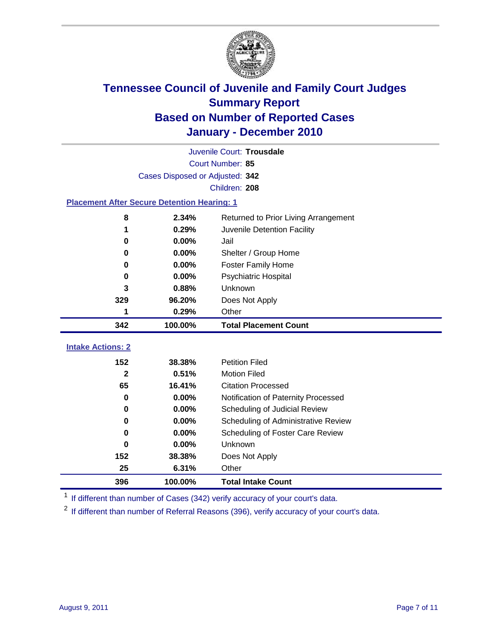

|                                                    | Juvenile Court: Trousdale       |                                      |  |  |  |
|----------------------------------------------------|---------------------------------|--------------------------------------|--|--|--|
|                                                    | Court Number: 85                |                                      |  |  |  |
|                                                    | Cases Disposed or Adjusted: 342 |                                      |  |  |  |
|                                                    |                                 | Children: 208                        |  |  |  |
| <b>Placement After Secure Detention Hearing: 1</b> |                                 |                                      |  |  |  |
| 8                                                  | 2.34%                           | Returned to Prior Living Arrangement |  |  |  |
| 1                                                  | 0.29%                           | Juvenile Detention Facility          |  |  |  |
| 0                                                  | 0.00%                           | Jail                                 |  |  |  |
| 0                                                  | 0.00%                           | Shelter / Group Home                 |  |  |  |
| $\bf{0}$                                           | 0.00%                           | Foster Family Home                   |  |  |  |
| 0                                                  | 0.00%                           | Psychiatric Hospital                 |  |  |  |
| 3                                                  | 0.88%                           | Unknown                              |  |  |  |
| 329                                                | 96.20%                          | Does Not Apply                       |  |  |  |
| 1                                                  | 0.29%                           | Other                                |  |  |  |
| 342                                                | 100.00%                         | <b>Total Placement Count</b>         |  |  |  |
| <b>Intake Actions: 2</b>                           |                                 |                                      |  |  |  |
|                                                    |                                 |                                      |  |  |  |
| 152                                                | 38.38%                          | <b>Petition Filed</b>                |  |  |  |
| $\mathbf{2}$                                       | 0.51%                           | <b>Motion Filed</b>                  |  |  |  |
| 65                                                 | 16.41%                          | <b>Citation Processed</b>            |  |  |  |
| 0                                                  | 0.00%                           | Notification of Paternity Processed  |  |  |  |
| $\bf{0}$                                           | 0.00%                           | Scheduling of Judicial Review        |  |  |  |
| 0                                                  | 0.00%                           | Scheduling of Administrative Review  |  |  |  |
| 0                                                  | 0.00%                           | Scheduling of Foster Care Review     |  |  |  |
| 0                                                  | 0.00%                           | <b>Unknown</b>                       |  |  |  |
| 152                                                | 38.38%                          | Does Not Apply                       |  |  |  |
| 25                                                 | 6.31%                           | Other                                |  |  |  |
| 396                                                | 100.00%                         | <b>Total Intake Count</b>            |  |  |  |

<sup>1</sup> If different than number of Cases (342) verify accuracy of your court's data.

<sup>2</sup> If different than number of Referral Reasons (396), verify accuracy of your court's data.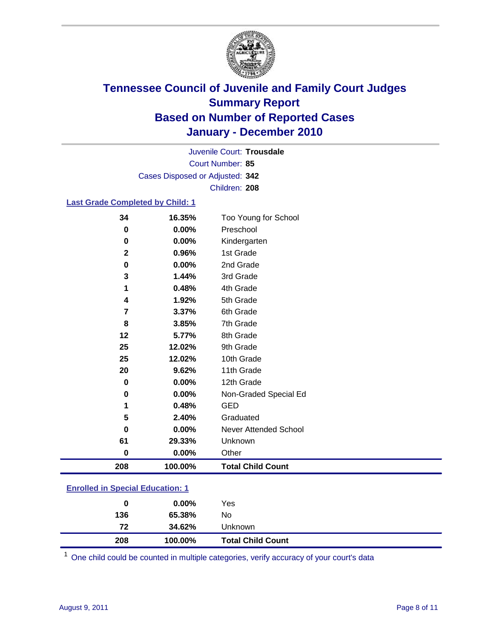

Court Number: **85** Juvenile Court: **Trousdale** Cases Disposed or Adjusted: **342** Children: **208**

#### **Last Grade Completed by Child: 1**

| 34           | 16.35%   | Too Young for School         |
|--------------|----------|------------------------------|
| 0            | 0.00%    | Preschool                    |
| 0            | 0.00%    | Kindergarten                 |
| $\mathbf{2}$ | 0.96%    | 1st Grade                    |
| 0            | 0.00%    | 2nd Grade                    |
| 3            | 1.44%    | 3rd Grade                    |
| 1            | 0.48%    | 4th Grade                    |
| 4            | 1.92%    | 5th Grade                    |
| 7            | 3.37%    | 6th Grade                    |
| 8            | 3.85%    | 7th Grade                    |
| 12           | 5.77%    | 8th Grade                    |
| 25           | 12.02%   | 9th Grade                    |
| 25           | 12.02%   | 10th Grade                   |
| 20           | 9.62%    | 11th Grade                   |
| 0            | 0.00%    | 12th Grade                   |
| 0            | 0.00%    | Non-Graded Special Ed        |
| 1            | 0.48%    | <b>GED</b>                   |
| 5            | 2.40%    | Graduated                    |
| 0            | 0.00%    | <b>Never Attended School</b> |
| 61           | 29.33%   | Unknown                      |
| 0            | $0.00\%$ | Other                        |
| 208          | 100.00%  | <b>Total Child Count</b>     |
|              |          |                              |

### **Enrolled in Special Education: 1**

| 0   | $0.00\%$ | Yes                      |
|-----|----------|--------------------------|
| 136 | 65.38%   | No                       |
| 72  | 34.62%   | Unknown                  |
| 208 | 100.00%  | <b>Total Child Count</b> |

One child could be counted in multiple categories, verify accuracy of your court's data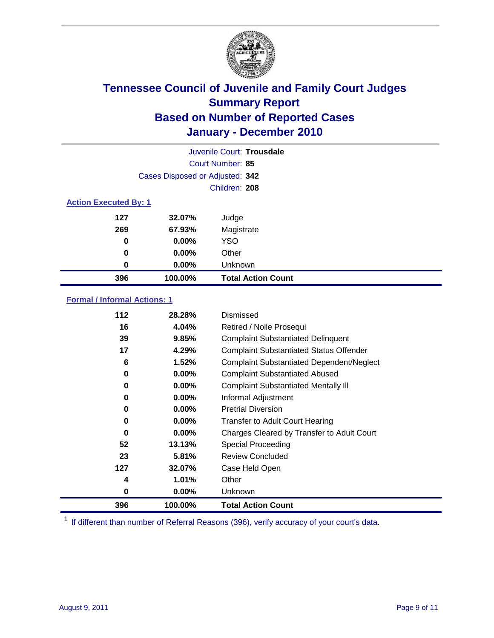

| Juvenile Court: Trousdale |                                 |                           |  |  |  |
|---------------------------|---------------------------------|---------------------------|--|--|--|
|                           | Court Number: 85                |                           |  |  |  |
|                           | Cases Disposed or Adjusted: 342 |                           |  |  |  |
|                           | Children: 208                   |                           |  |  |  |
|                           | <b>Action Executed By: 1</b>    |                           |  |  |  |
| 127                       | 32.07%                          | Judge                     |  |  |  |
| 269                       | 67.93%                          | Magistrate                |  |  |  |
| 0                         | $0.00\%$                        | <b>YSO</b>                |  |  |  |
| 0                         | $0.00\%$                        | Other                     |  |  |  |
| 0                         | 0.00%                           | Unknown                   |  |  |  |
| 396                       | 100.00%                         | <b>Total Action Count</b> |  |  |  |

#### **Formal / Informal Actions: 1**

| 112 | 28.28%   | Dismissed                                        |
|-----|----------|--------------------------------------------------|
| 16  | 4.04%    | Retired / Nolle Prosequi                         |
| 39  | 9.85%    | <b>Complaint Substantiated Delinquent</b>        |
| 17  | 4.29%    | <b>Complaint Substantiated Status Offender</b>   |
| 6   | 1.52%    | <b>Complaint Substantiated Dependent/Neglect</b> |
| 0   | 0.00%    | <b>Complaint Substantiated Abused</b>            |
| 0   | $0.00\%$ | <b>Complaint Substantiated Mentally III</b>      |
| 0   | $0.00\%$ | Informal Adjustment                              |
| 0   | $0.00\%$ | <b>Pretrial Diversion</b>                        |
| 0   | $0.00\%$ | <b>Transfer to Adult Court Hearing</b>           |
| 0   | 0.00%    | Charges Cleared by Transfer to Adult Court       |
| 52  | 13.13%   | Special Proceeding                               |
| 23  | 5.81%    | <b>Review Concluded</b>                          |
| 127 | 32.07%   | Case Held Open                                   |
| 4   | 1.01%    | Other                                            |
| 0   | $0.00\%$ | <b>Unknown</b>                                   |
| 396 | 100.00%  | <b>Total Action Count</b>                        |

<sup>1</sup> If different than number of Referral Reasons (396), verify accuracy of your court's data.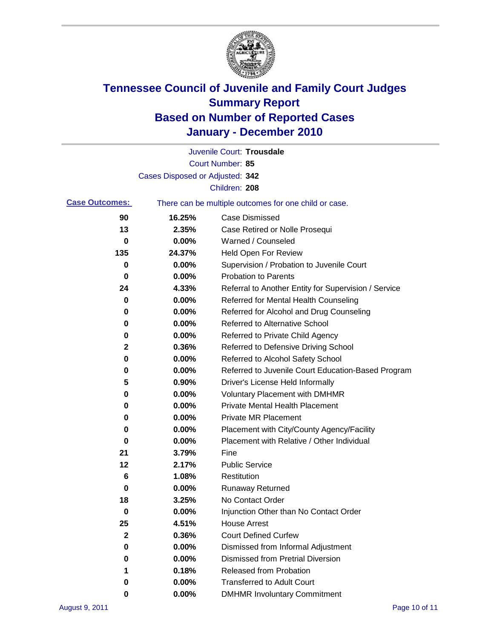

|                       |                                 | Juvenile Court: Trousdale                             |
|-----------------------|---------------------------------|-------------------------------------------------------|
|                       |                                 | Court Number: 85                                      |
|                       | Cases Disposed or Adjusted: 342 |                                                       |
|                       |                                 | Children: 208                                         |
| <b>Case Outcomes:</b> |                                 | There can be multiple outcomes for one child or case. |
| 90                    | 16.25%                          | <b>Case Dismissed</b>                                 |
| 13                    | 2.35%                           | Case Retired or Nolle Prosequi                        |
| 0                     | 0.00%                           | Warned / Counseled                                    |
| 135                   | 24.37%                          | <b>Held Open For Review</b>                           |
| 0                     | 0.00%                           | Supervision / Probation to Juvenile Court             |
| 0                     | 0.00%                           | <b>Probation to Parents</b>                           |
| 24                    | 4.33%                           | Referral to Another Entity for Supervision / Service  |
| 0                     | 0.00%                           | Referred for Mental Health Counseling                 |
| 0                     | 0.00%                           | Referred for Alcohol and Drug Counseling              |
| 0                     | 0.00%                           | <b>Referred to Alternative School</b>                 |
| 0                     | 0.00%                           | Referred to Private Child Agency                      |
| 2                     | 0.36%                           | Referred to Defensive Driving School                  |
| 0                     | 0.00%                           | Referred to Alcohol Safety School                     |
| 0                     | 0.00%                           | Referred to Juvenile Court Education-Based Program    |
| 5                     | 0.90%                           | Driver's License Held Informally                      |
| 0                     | 0.00%                           | <b>Voluntary Placement with DMHMR</b>                 |
| 0                     | 0.00%                           | <b>Private Mental Health Placement</b>                |
| 0                     | 0.00%                           | <b>Private MR Placement</b>                           |
| 0                     | 0.00%                           | Placement with City/County Agency/Facility            |
| 0                     | 0.00%                           | Placement with Relative / Other Individual            |
| 21                    | 3.79%                           | Fine                                                  |
| 12                    | 2.17%                           | <b>Public Service</b>                                 |
| 6                     | 1.08%                           | Restitution                                           |
| 0                     | 0.00%                           | <b>Runaway Returned</b>                               |
| 18                    | 3.25%                           | No Contact Order                                      |
| $\bf{0}$              | 0.00%                           | Injunction Other than No Contact Order                |
| 25                    | 4.51%                           | <b>House Arrest</b>                                   |
| 2                     | 0.36%                           | <b>Court Defined Curfew</b>                           |
| 0                     | 0.00%                           | Dismissed from Informal Adjustment                    |
| 0                     | 0.00%                           | <b>Dismissed from Pretrial Diversion</b>              |
| 1                     | 0.18%                           | Released from Probation                               |
| 0                     | 0.00%                           | <b>Transferred to Adult Court</b>                     |
| 0                     | $0.00\%$                        | <b>DMHMR Involuntary Commitment</b>                   |